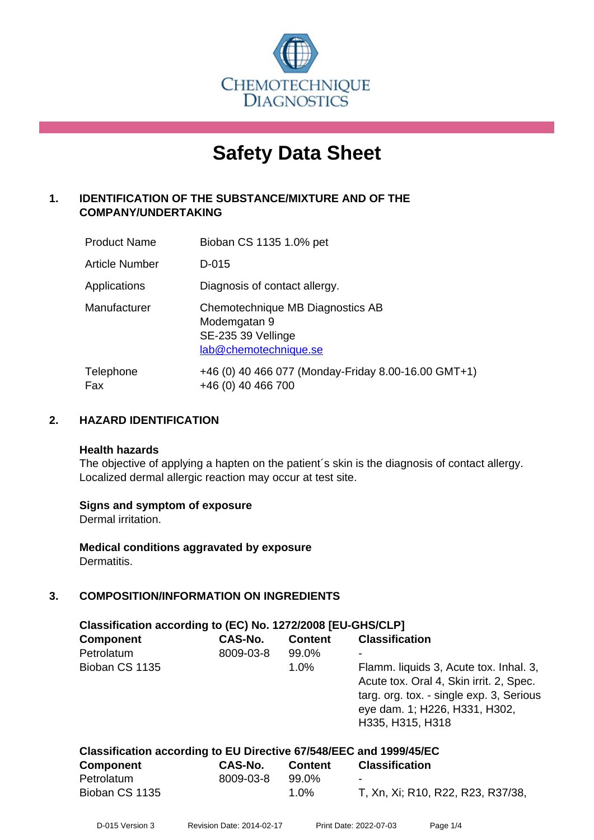

# **Safety Data Sheet**

# **1. IDENTIFICATION OF THE SUBSTANCE/MIXTURE AND OF THE COMPANY/UNDERTAKING**

| <b>Product Name</b>   | Bioban CS 1135 1.0% pet                                                                         |
|-----------------------|-------------------------------------------------------------------------------------------------|
| <b>Article Number</b> | D-015                                                                                           |
| Applications          | Diagnosis of contact allergy.                                                                   |
| Manufacturer          | Chemotechnique MB Diagnostics AB<br>Modemgatan 9<br>SE-235 39 Vellinge<br>lab@chemotechnique.se |
| Telephone<br>Fax      | +46 (0) 40 466 077 (Monday-Friday 8.00-16.00 GMT+1)<br>+46 (0) 40 466 700                       |

# **2. HAZARD IDENTIFICATION**

#### **Health hazards**

The objective of applying a hapten on the patient's skin is the diagnosis of contact allergy. Localized dermal allergic reaction may occur at test site.

## **Signs and symptom of exposure**

Dermal irritation.

**Medical conditions aggravated by exposure** Dermatitis.

# **3. COMPOSITION/INFORMATION ON INGREDIENTS**

| Classification according to (EC) No. 1272/2008 [EU-GHS/CLP]        |           |                |                                                                                                                                                                                    |  |
|--------------------------------------------------------------------|-----------|----------------|------------------------------------------------------------------------------------------------------------------------------------------------------------------------------------|--|
| <b>Component</b>                                                   | CAS-No.   | <b>Content</b> | <b>Classification</b>                                                                                                                                                              |  |
| Petrolatum                                                         | 8009-03-8 | 99.0%          |                                                                                                                                                                                    |  |
| Bioban CS 1135                                                     |           | $1.0\%$        | Flamm. liquids 3, Acute tox. Inhal. 3,<br>Acute tox. Oral 4, Skin irrit. 2, Spec.<br>targ. org. tox. - single exp. 3, Serious<br>eye dam. 1; H226, H331, H302,<br>H335, H315, H318 |  |
| Classification according to EU Directive 67/548/EEC and 1999/45/EC |           |                |                                                                                                                                                                                    |  |

| <b>Component</b> | CAS-No.   | <b>Content</b> | <b>Classification</b>             |
|------------------|-----------|----------------|-----------------------------------|
| Petrolatum       | 8009-03-8 | 99.0%          | -                                 |
| Bioban CS 1135   |           | $1.0\%$        | T, Xn, Xi; R10, R22, R23, R37/38, |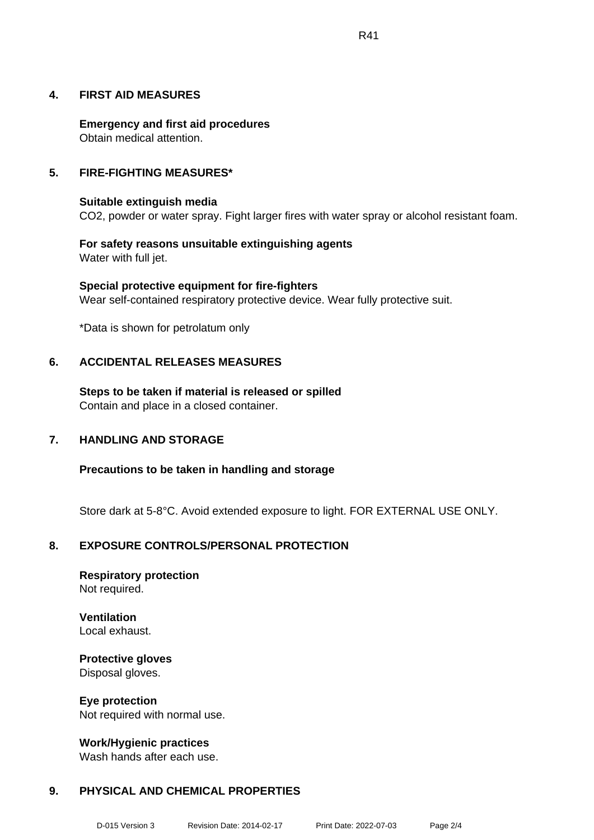**Emergency and first aid procedures** Obtain medical attention.

# **5. FIRE-FIGHTING MEASURES\***

**4. FIRST AID MEASURES**

#### **Suitable extinguish media** CO2, powder or water spray. Fight larger fires with water spray or alcohol resistant foam.

**For safety reasons unsuitable extinguishing agents** Water with full jet.

**Special protective equipment for fire-fighters** Wear self-contained respiratory protective device. Wear fully protective suit.

\*Data is shown for petrolatum only

# **6. ACCIDENTAL RELEASES MEASURES**

**Steps to be taken if material is released or spilled** Contain and place in a closed container.

# **7. HANDLING AND STORAGE**

**Precautions to be taken in handling and storage**

Store dark at 5-8°C. Avoid extended exposure to light. FOR EXTERNAL USE ONLY.

# **8. EXPOSURE CONTROLS/PERSONAL PROTECTION**

**Respiratory protection** Not required.

**Ventilation** Local exhaust.

**Protective gloves** Disposal gloves.

**Eye protection** Not required with normal use.

**Work/Hygienic practices** Wash hands after each use.

# **9. PHYSICAL AND CHEMICAL PROPERTIES**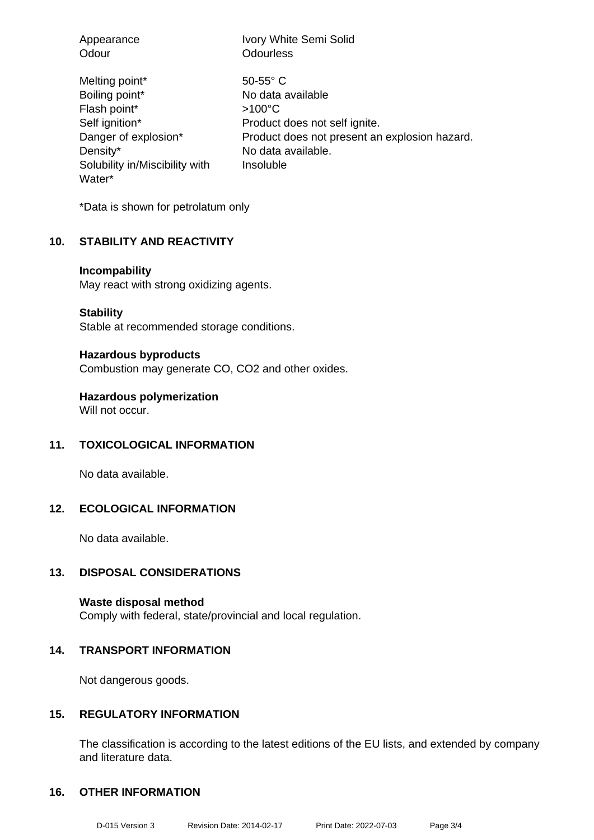| Appearance                                                                                                                                         | Ivory White Semi Solid                                                                                                                                                      |
|----------------------------------------------------------------------------------------------------------------------------------------------------|-----------------------------------------------------------------------------------------------------------------------------------------------------------------------------|
| Odour                                                                                                                                              | <b>Odourless</b>                                                                                                                                                            |
| Melting point*<br>Boiling point*<br>Flash point*<br>Self ignition*<br>Danger of explosion*<br>Density*<br>Solubility in/Miscibility with<br>Water* | $50 - 55$ ° C<br>No data available<br>$>100^{\circ}$ C<br>Product does not self ignite.<br>Product does not present an explosion hazard.<br>No data available.<br>Insoluble |

\*Data is shown for petrolatum only

## **10. STABILITY AND REACTIVITY**

#### **Incompability**

May react with strong oxidizing agents.

**Stability**

Stable at recommended storage conditions.

#### **Hazardous byproducts**

Combustion may generate CO, CO2 and other oxides.

**Hazardous polymerization**

Will not occur.

# **11. TOXICOLOGICAL INFORMATION**

No data available.

## **12. ECOLOGICAL INFORMATION**

No data available.

# **13. DISPOSAL CONSIDERATIONS**

**Waste disposal method** Comply with federal, state/provincial and local regulation.

## **14. TRANSPORT INFORMATION**

Not dangerous goods.

# **15. REGULATORY INFORMATION**

The classification is according to the latest editions of the EU lists, and extended by company and literature data.

## **16. OTHER INFORMATION**